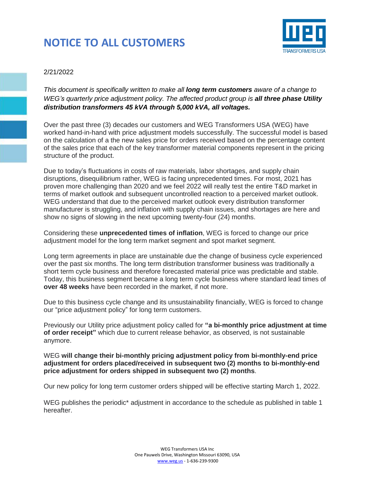## **NOTICE TO ALL CUSTOMERS**



## 2/21/2022

*This document is specifically written to make all long term customers aware of a change to WEG's quarterly price adjustment policy. The affected product group is all three phase Utility distribution transformers 45 kVA through 5,000 kVA, all voltages.* 

Over the past three (3) decades our customers and WEG Transformers USA (WEG) have worked hand-in-hand with price adjustment models successfully. The successful model is based on the calculation of a the new sales price for orders received based on the percentage content of the sales price that each of the key transformer material components represent in the pricing structure of the product.

Due to today's fluctuations in costs of raw materials, labor shortages, and supply chain disruptions, disequilibrium rather, WEG is facing unprecedented times. For most, 2021 has proven more challenging than 2020 and we feel 2022 will really test the entire T&D market in terms of market outlook and subsequent uncontrolled reaction to a perceived market outlook. WEG understand that due to the perceived market outlook every distribution transformer manufacturer is struggling, and inflation with supply chain issues, and shortages are here and show no signs of slowing in the next upcoming twenty-four (24) months.

Considering these **unprecedented times of inflation**, WEG is forced to change our price adjustment model for the long term market segment and spot market segment.

Long term agreements in place are unstainable due the change of business cycle experienced over the past six months. The long term distribution transformer business was traditionally a short term cycle business and therefore forecasted material price was predictable and stable. Today, this business segment became a long term cycle business where standard lead times of **over 48 weeks** have been recorded in the market, if not more.

Due to this business cycle change and its unsustainability financially, WEG is forced to change our "price adjustment policy" for long term customers.

Previously our Utility price adjustment policy called for **"a bi-monthly price adjustment at time of order receipt"** which due to current release behavior, as observed, is not sustainable anymore.

WEG **will change their bi-monthly pricing adjustment policy from bi-monthly-end price adjustment for orders placed/received in subsequent two (2) months to bi-monthly-end price adjustment for orders shipped in subsequent two (2) months**.

Our new policy for long term customer orders shipped will be effective starting March 1, 2022.

WEG publishes the periodic<sup>\*</sup> adjustment in accordance to the schedule as published in table 1 hereafter.